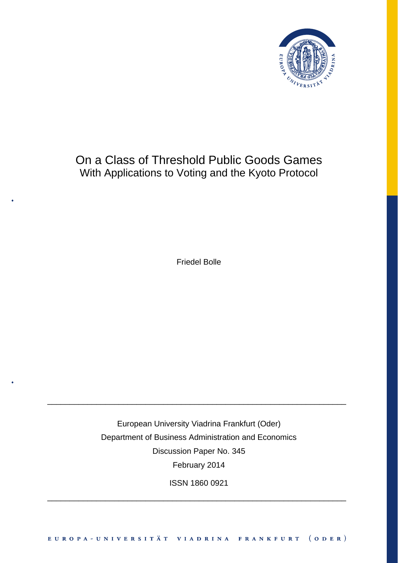

## On a Class of Threshold Public Goods Games With Applications to Voting and the Kyoto Protocol

Friedel Bolle

European University Viadrina Frankfurt (Oder) Department of Business Administration and Economics Discussion Paper No. 345 February 2014

\_\_\_\_\_\_\_\_\_\_\_\_\_\_\_\_\_\_\_\_\_\_\_\_\_\_\_\_\_\_\_\_\_\_\_\_\_\_\_\_\_\_\_\_\_\_\_\_\_\_\_\_\_\_\_\_\_\_\_\_\_\_\_\_\_\_\_

ISSN 1860 0921

\_\_\_\_\_\_\_\_\_\_\_\_\_\_\_\_\_\_\_\_\_\_\_\_\_\_\_\_\_\_\_\_\_\_\_\_\_\_\_\_\_\_\_\_\_\_\_\_\_\_\_\_\_\_\_\_\_\_\_\_\_\_\_\_\_\_\_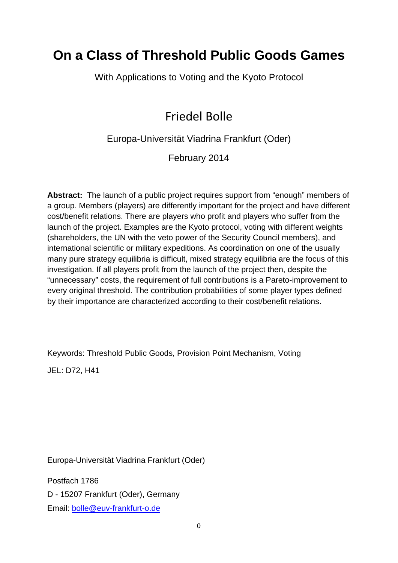# **On a Class of Threshold Public Goods Games**

With Applications to Voting and the Kyoto Protocol

## Friedel Bolle

Europa-Universität Viadrina Frankfurt (Oder)

February 2014

**Abstract:** The launch of a public project requires support from "enough" members of a group. Members (players) are differently important for the project and have different cost/benefit relations. There are players who profit and players who suffer from the launch of the project. Examples are the Kyoto protocol, voting with different weights (shareholders, the UN with the veto power of the Security Council members), and international scientific or military expeditions. As coordination on one of the usually many pure strategy equilibria is difficult, mixed strategy equilibria are the focus of this investigation. If all players profit from the launch of the project then, despite the "unnecessary" costs, the requirement of full contributions is a Pareto-improvement to every original threshold. The contribution probabilities of some player types defined by their importance are characterized according to their cost/benefit relations.

Keywords: Threshold Public Goods, Provision Point Mechanism, Voting

JEL: D72, H41

Europa-Universität Viadrina Frankfurt (Oder)

Postfach 1786 D - 15207 Frankfurt (Oder), Germany Email: bolle@euv-frankfurt-o.de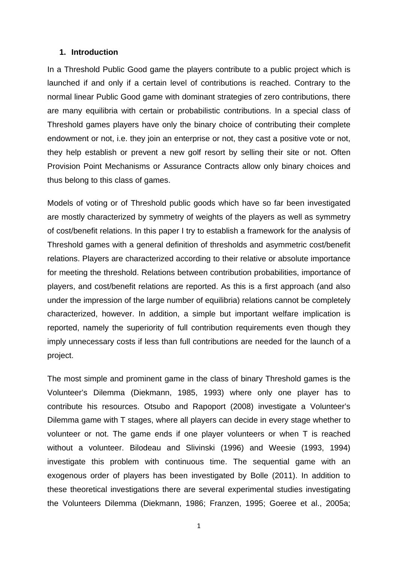#### **1. Introduction**

In a Threshold Public Good game the players contribute to a public project which is launched if and only if a certain level of contributions is reached. Contrary to the normal linear Public Good game with dominant strategies of zero contributions, there are many equilibria with certain or probabilistic contributions. In a special class of Threshold games players have only the binary choice of contributing their complete endowment or not, i.e. they join an enterprise or not, they cast a positive vote or not, they help establish or prevent a new golf resort by selling their site or not. Often Provision Point Mechanisms or Assurance Contracts allow only binary choices and thus belong to this class of games.

Models of voting or of Threshold public goods which have so far been investigated are mostly characterized by symmetry of weights of the players as well as symmetry of cost/benefit relations. In this paper I try to establish a framework for the analysis of Threshold games with a general definition of thresholds and asymmetric cost/benefit relations. Players are characterized according to their relative or absolute importance for meeting the threshold. Relations between contribution probabilities, importance of players, and cost/benefit relations are reported. As this is a first approach (and also under the impression of the large number of equilibria) relations cannot be completely characterized, however. In addition, a simple but important welfare implication is reported, namely the superiority of full contribution requirements even though they imply unnecessary costs if less than full contributions are needed for the launch of a project.

The most simple and prominent game in the class of binary Threshold games is the Volunteer's Dilemma (Diekmann, 1985, 1993) where only one player has to contribute his resources. Otsubo and Rapoport (2008) investigate a Volunteer's Dilemma game with T stages, where all players can decide in every stage whether to volunteer or not. The game ends if one player volunteers or when T is reached without a volunteer. Bilodeau and Slivinski (1996) and Weesie (1993, 1994) investigate this problem with continuous time. The sequential game with an exogenous order of players has been investigated by Bolle (2011). In addition to these theoretical investigations there are several experimental studies investigating the Volunteers Dilemma (Diekmann, 1986; Franzen, 1995; Goeree et al., 2005a;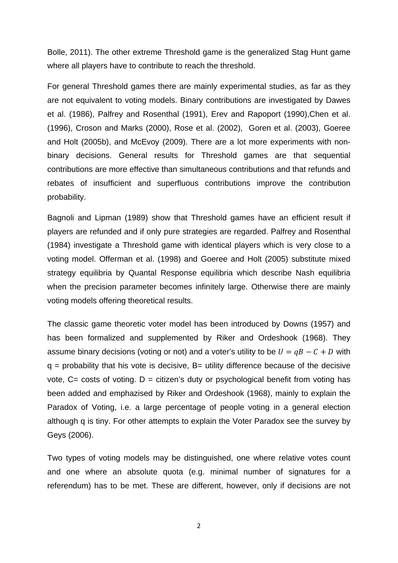Bolle, 2011). The other extreme Threshold game is the generalized Stag Hunt game where all players have to contribute to reach the threshold.

For general Threshold games there are mainly experimental studies, as far as they are not equivalent to voting models. Binary contributions are investigated by Dawes et al. (1986), Palfrey and Rosenthal (1991), Erev and Rapoport (1990),Chen et al. (1996), Croson and Marks (2000), Rose et al. (2002), Goren et al. (2003), Goeree and Holt (2005b), and McEvoy (2009). There are a lot more experiments with nonbinary decisions. General results for Threshold games are that sequential contributions are more effective than simultaneous contributions and that refunds and rebates of insufficient and superfluous contributions improve the contribution probability.

Bagnoli and Lipman (1989) show that Threshold games have an efficient result if players are refunded and if only pure strategies are regarded. Palfrey and Rosenthal (1984) investigate a Threshold game with identical players which is very close to a voting model. Offerman et al. (1998) and Goeree and Holt (2005) substitute mixed strategy equilibria by Quantal Response equilibria which describe Nash equilibria when the precision parameter becomes infinitely large. Otherwise there are mainly voting models offering theoretical results.

The classic game theoretic voter model has been introduced by Downs (1957) and has been formalized and supplemented by Riker and Ordeshook (1968). They assume binary decisions (voting or not) and a voter's utility to be  $U = qB - C + D$  with  $q$  = probability that his vote is decisive,  $B$  = utility difference because of the decisive vote,  $C = \text{costs}$  of voting.  $D = \text{citizen's duty or psychological benefit from voting has}$ been added and emphazised by Riker and Ordeshook (1968), mainly to explain the Paradox of Voting, i.e. a large percentage of people voting in a general election although q is tiny. For other attempts to explain the Voter Paradox see the survey by Geys (2006).

Two types of voting models may be distinguished, one where relative votes count and one where an absolute quota (e.g. minimal number of signatures for a referendum) has to be met. These are different, however, only if decisions are not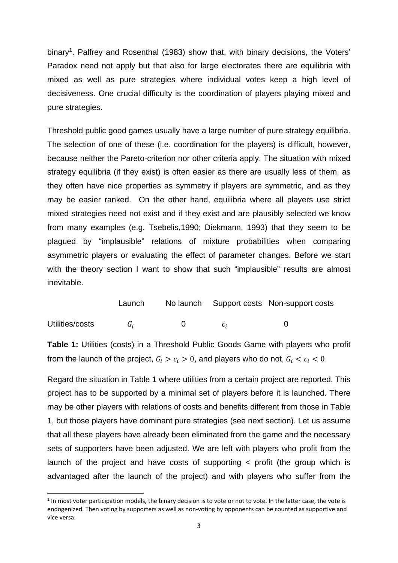binary<sup>1</sup>. Palfrey and Rosenthal (1983) show that, with binary decisions, the Voters' Paradox need not apply but that also for large electorates there are equilibria with mixed as well as pure strategies where individual votes keep a high level of decisiveness. One crucial difficulty is the coordination of players playing mixed and pure strategies.

Threshold public good games usually have a large number of pure strategy equilibria. The selection of one of these (i.e. coordination for the players) is difficult, however, because neither the Pareto-criterion nor other criteria apply. The situation with mixed strategy equilibria (if they exist) is often easier as there are usually less of them, as they often have nice properties as symmetry if players are symmetric, and as they may be easier ranked. On the other hand, equilibria where all players use strict mixed strategies need not exist and if they exist and are plausibly selected we know from many examples (e.g. Tsebelis,1990; Diekmann, 1993) that they seem to be plagued by "implausible" relations of mixture probabilities when comparing asymmetric players or evaluating the effect of parameter changes. Before we start with the theory section I want to show that such "implausible" results are almost inevitable.

|                 | Launch |  | No launch Support costs Non-support costs |  |
|-----------------|--------|--|-------------------------------------------|--|
| Utilities/costs | G.     |  |                                           |  |

**Table 1:** Utilities (costs) in a Threshold Public Goods Game with players who profit from the launch of the project,  $G_i > c_i > 0$ , and players who do not,  $G_i < c_i < 0$ .

Regard the situation in Table 1 where utilities from a certain project are reported. This project has to be supported by a minimal set of players before it is launched. There may be other players with relations of costs and benefits different from those in Table 1, but those players have dominant pure strategies (see next section). Let us assume that all these players have already been eliminated from the game and the necessary sets of supporters have been adjusted. We are left with players who profit from the launch of the project and have costs of supporting < profit (the group which is advantaged after the launch of the project) and with players who suffer from the

 $1$  In most voter participation models, the binary decision is to vote or not to vote. In the latter case, the vote is endogenized. Then voting by supporters as well as non-voting by opponents can be counted as supportive and vice versa.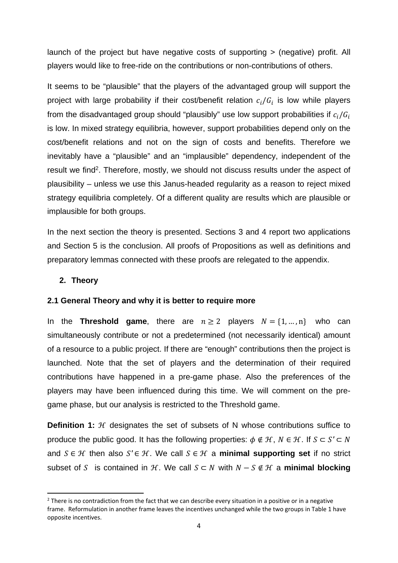launch of the project but have negative costs of supporting > (negative) profit. All players would like to free-ride on the contributions or non-contributions of others.

It seems to be "plausible" that the players of the advantaged group will support the project with large probability if their cost/benefit relation  $c_i/G_i$  is low while players from the disadvantaged group should "plausibly" use low support probabilities if  $c_i/G_i$ is low. In mixed strategy equilibria, however, support probabilities depend only on the cost/benefit relations and not on the sign of costs and benefits. Therefore we inevitably have a "plausible" and an "implausible" dependency, independent of the result we find<sup>2</sup>. Therefore, mostly, we should not discuss results under the aspect of plausibility – unless we use this Janus-headed regularity as a reason to reject mixed strategy equilibria completely. Of a different quality are results which are plausible or implausible for both groups.

In the next section the theory is presented. Sections 3 and 4 report two applications and Section 5 is the conclusion. All proofs of Propositions as well as definitions and preparatory lemmas connected with these proofs are relegated to the appendix.

## **2. Theory**

## **2.1 General Theory and why it is better to require more**

In the **Threshold game**, there are  $n \ge 2$  players  $N = \{1, ..., n\}$  who can simultaneously contribute or not a predetermined (not necessarily identical) amount of a resource to a public project. If there are "enough" contributions then the project is launched. Note that the set of players and the determination of their required contributions have happened in a pre-game phase. Also the preferences of the players may have been influenced during this time. We will comment on the pregame phase, but our analysis is restricted to the Threshold game.

**Definition 1:** H designates the set of subsets of N whose contributions suffice to produce the public good. It has the following properties:  $\phi \notin \mathcal{H}$ ,  $N \in \mathcal{H}$ . If  $S \subset S' \subset N$ and  $S \in \mathcal{H}$  then also  $S' \in \mathcal{H}$ . We call  $S \in \mathcal{H}$  a **minimal supporting set** if no strict subset of S is contained in H, We call  $S \subset N$  with  $N - S \notin H$  a **minimal blocking** 

 $2$  There is no contradiction from the fact that we can describe every situation in a positive or in a negative frame. Reformulation in another frame leaves the incentives unchanged while the two groups in Table 1 have opposite incentives.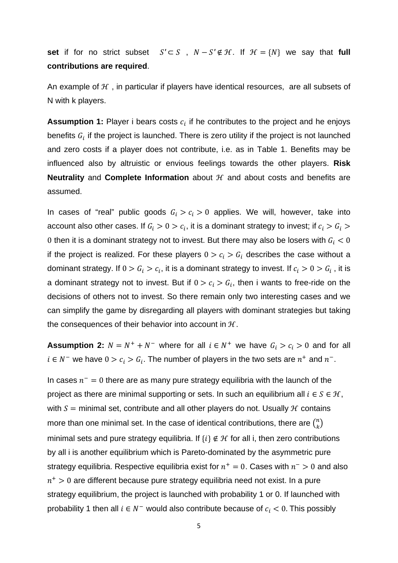**set** if for no strict subset  $S' \subset S$ ,  $N - S' \notin H$ . If  $H = \{N\}$  we say that **full contributions are required**.

An example of  $H$ , in particular if players have identical resources, are all subsets of N with k players.

**Assumption 1:** Player i bears costs  $c_i$  if he contributes to the project and he enjoys benefits  $G_i$  if the project is launched. There is zero utility if the project is not launched and zero costs if a player does not contribute, i.e. as in Table 1. Benefits may be influenced also by altruistic or envious feelings towards the other players. **Risk Neutrality** and **Complete Information** about  $H$  and about costs and benefits are assumed.

In cases of "real" public goods  $G_i > c_i > 0$  applies. We will, however, take into account also other cases. If  $G_i > 0 > c_i$ , it is a dominant strategy to invest; if  $c_i > G_i >$ 0 then it is a dominant strategy not to invest. But there may also be losers with  $G_i < 0$ if the project is realized. For these players  $0 > c_i > G_i$  describes the case without a dominant strategy. If  $0 > G_i > c_i$ , it is a dominant strategy to invest. If  $c_i > 0 > G_i$  , it is a dominant strategy not to invest. But if  $0 > c_i > G_i$ , then i wants to free-ride on the decisions of others not to invest. So there remain only two interesting cases and we can simplify the game by disregarding all players with dominant strategies but taking the consequences of their behavior into account in  $H$ .

**Assumption 2:**  $N = N^+ + N^-$  where for all  $i \in N^+$  we have  $G_i > c_i > 0$  and for all  $i \in N^-$  we have  $0 > c_i > G_i$ . The number of players in the two sets are  $n^+$  and  $n^-$ .

In cases  $n^- = 0$  there are as many pure strategy equilibria with the launch of the project as there are minimal supporting or sets. In such an equilibrium all  $i \in S \in \mathcal{H}$ , with  $S =$  minimal set, contribute and all other players do not. Usually  $H$  contains more than one minimal set. In the case of identical contributions, there are  $\binom{n}{k}$ minimal sets and pure strategy equilibria. If  $\{i\} \notin \mathcal{H}$  for all i, then zero contributions by all i is another equilibrium which is Pareto-dominated by the asymmetric pure strategy equilibria. Respective equilibria exist for  $n^+ = 0$ . Cases with  $n^- > 0$  and also  $n^+ > 0$  are different because pure strategy equilibria need not exist. In a pure strategy equilibrium, the project is launched with probability 1 or 0. If launched with probability 1 then all  $i \in N^-$  would also contribute because of  $c_i < 0$ . This possibly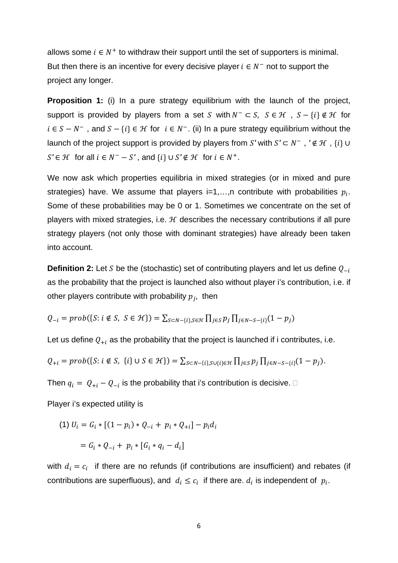allows some  $i \in N^+$  to withdraw their support until the set of supporters is minimal. But then there is an incentive for every decisive player  $i \in N^-$  not to support the project any longer.

**Proposition 1:** (i) In a pure strategy equilibrium with the launch of the project, support is provided by players from a set S with  $N^- \subset S$ ,  $S \in \mathcal{H}$ ,  $S - \{i\} \notin \mathcal{H}$  for  $i \in S - N^-$ , and  $S - \{i\} \in H$  for  $i \in N^-$ . (ii) In a pure strategy equilibrium without the launch of the project support is provided by players from S' with  $S' \subset N^-$ ,  $' \notin \mathcal{H}$ ,  $\{i\} \cup$  $S' \in \mathcal{H}$  for all  $i \in N^- - S'$ , and  $\{i\} \cup S' \notin \mathcal{H}$  for  $i \in N^+$ .

We now ask which properties equilibria in mixed strategies (or in mixed and pure strategies) have. We assume that players  $i=1,...,n$  contribute with probabilities  $p_i$ . Some of these probabilities may be 0 or 1. Sometimes we concentrate on the set of players with mixed strategies, i.e.  $H$  describes the necessary contributions if all pure strategy players (not only those with dominant strategies) have already been taken into account.

**Definition 2:** Let S be the (stochastic) set of contributing players and let us define  $Q_{-i}$ as the probability that the project is launched also without player i's contribution, i.e. if other players contribute with probability  $p_i$ , then

$$
Q_{-i} = prob(\{S : i \notin S, S \in \mathcal{H}\}) = \sum_{S \subset N - \{i\}, S \in \mathcal{H}} \prod_{j \in S} p_j \prod_{j \in N - S - \{i\}} (1 - p_j)
$$

Let us define  $Q_{+i}$  as the probability that the project is launched if i contributes, i.e.

$$
Q_{+i} = prob(\{S : i \notin S, \{i\} \cup S \in \mathcal{H}\}) = \sum_{S \subset N - \{i\}, S \cup \{i\} \in \mathcal{H}} \prod_{j \in S} p_j \prod_{j \in N - S - \{i\}} (1 - p_j).
$$

Then  $q_i = |Q_{+i} - Q_{-i}|$  is the probability that i's contribution is decisive.  $\Box$ 

Player i's expected utility is

(1) 
$$
U_i = G_i * [(1 - p_i) * Q_{-i} + p_i * Q_{+i}] - p_i d_i
$$
  
=  $G_i * Q_{-i} + p_i * [G_i * q_i - d_i]$ 

with  $d_i = c_i$  if there are no refunds (if contributions are insufficient) and rebates (if contributions are superfluous), and  $d_i \leq c_i$  if there are.  $d_i$  is independent of  $p_i$ .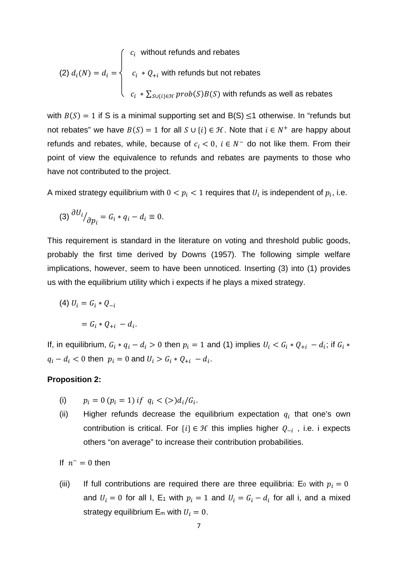(2) 
$$
d_i(N) = d_i = \begin{cases} c_i & \text{without refunds and rebates} \\ c_i * Q_{+i} & \text{with refunds but not rebates} \\ c_i * \sum_{S \cup \{i\} \in \mathcal{H}} \text{prob}(S) B(S) & \text{with refunds as well as rebates} \end{cases}
$$

with  $B(S) = 1$  if S is a minimal supporting set and  $B(S) \le 1$  otherwise. In "refunds but not rebates" we have  $B(S) = 1$  for all  $S \cup \{i\} \in \mathcal{H}$ . Note that  $i \in N^+$  are happy about refunds and rebates, while, because of  $c_i < 0$ ,  $i \in N^-$  do not like them. From their point of view the equivalence to refunds and rebates are payments to those who have not contributed to the project.

A mixed strategy equilibrium with  $0 < p_i < 1$  requires that  $U_i$  is independent of  $p_i$ , i.e.

$$
(3) \frac{\partial U_i}{\partial p_i} = G_i * q_i - d_i \equiv 0.
$$

This requirement is standard in the literature on voting and threshold public goods, probably the first time derived by Downs (1957). The following simple welfare implications, however, seem to have been unnoticed. Inserting (3) into (1) provides us with the equilibrium utility which i expects if he plays a mixed strategy.

(4) 
$$
U_i = G_i * Q_{-i}
$$

$$
= G_i * Q_{+i} - d_i.
$$

If, in equilibrium,  $G_i * q_i - d_i > 0$  then  $p_i = 1$  and (1) implies  $U_i < G_i * Q_{+i} - d_i$ ; if  $G_i *$  $q_i - d_i < 0$  then  $p_i = 0$  and  $U_i > G_i * Q_{+i} - d_i$ .

#### **Proposition 2:**

- (i)  $p_i = 0$   $(p_i = 1)$  if  $q_i < (>)d_i/G_i$ .
- (ii) Higher refunds decrease the equilibrium expectation  $q_i$  that one's own contribution is critical. For  $\{i\} \in \mathcal{H}$  this implies higher  $Q_{-i}$ , i.e. i expects others "on average" to increase their contribution probabilities.

If  $n^- = 0$  then

(iii) If full contributions are required there are three equilibria: E<sub>0</sub> with  $p_i = 0$ and  $U_i = 0$  for all I, E<sub>1</sub> with  $p_i = 1$  and  $U_i = G_i - d_i$  for all i, and a mixed strategy equilibrium  $E_m$  with  $U_i = 0$ .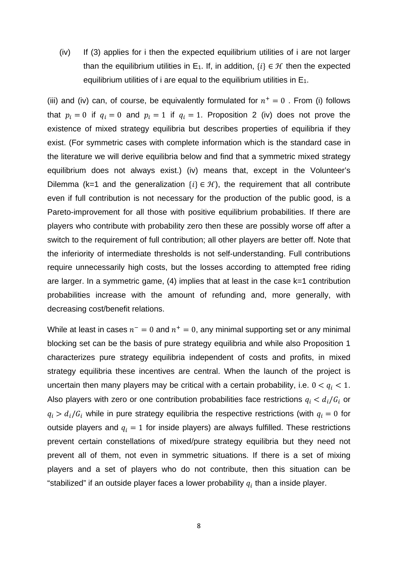(iv) If (3) applies for i then the expected equilibrium utilities of i are not larger than the equilibrium utilities in E<sub>1</sub>. If, in addition,  $\{i\} \in \mathcal{H}$  then the expected equilibrium utilities of i are equal to the equilibrium utilities in  $E_1$ .

(iii) and (iv) can, of course, be equivalently formulated for  $n^+=0$ . From (i) follows that  $p_i = 0$  if  $q_i = 0$  and  $p_i = 1$  if  $q_i = 1$ . Proposition 2 (iv) does not prove the existence of mixed strategy equilibria but describes properties of equilibria if they exist. (For symmetric cases with complete information which is the standard case in the literature we will derive equilibria below and find that a symmetric mixed strategy equilibrium does not always exist.) (iv) means that, except in the Volunteer's Dilemma (k=1 and the generalization  $\{i\} \in \mathcal{H}$ ), the requirement that all contribute even if full contribution is not necessary for the production of the public good, is a Pareto-improvement for all those with positive equilibrium probabilities. If there are players who contribute with probability zero then these are possibly worse off after a switch to the requirement of full contribution; all other players are better off. Note that the inferiority of intermediate thresholds is not self-understanding. Full contributions require unnecessarily high costs, but the losses according to attempted free riding are larger. In a symmetric game, (4) implies that at least in the case k=1 contribution probabilities increase with the amount of refunding and, more generally, with decreasing cost/benefit relations.

While at least in cases  $n^- = 0$  and  $n^+ = 0$ , any minimal supporting set or any minimal blocking set can be the basis of pure strategy equilibria and while also Proposition 1 characterizes pure strategy equilibria independent of costs and profits, in mixed strategy equilibria these incentives are central. When the launch of the project is uncertain then many players may be critical with a certain probability, i.e.  $0 < q_i < 1$ . Also players with zero or one contribution probabilities face restrictions  $q_i < d_i/G_i$  or  $q_i > d_i/G_i$  while in pure strategy equilibria the respective restrictions (with  $q_i = 0$  for outside players and  $q_i = 1$  for inside players) are always fulfilled. These restrictions prevent certain constellations of mixed/pure strategy equilibria but they need not prevent all of them, not even in symmetric situations. If there is a set of mixing players and a set of players who do not contribute, then this situation can be "stabilized" if an outside player faces a lower probability  $q_i$  than a inside player.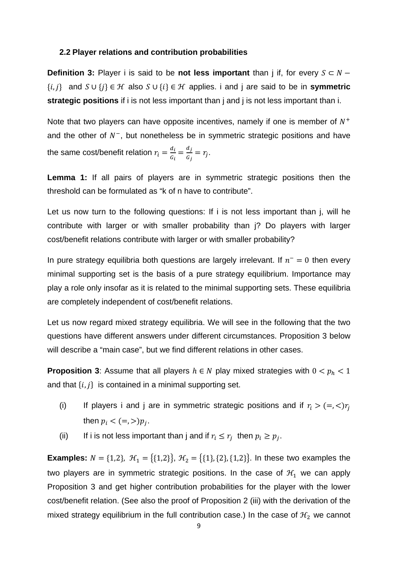#### **2.2 Player relations and contribution probabilities**

**Definition 3:** Player i is said to be **not less important** than j if, for every  $S \subset N \{i, j\}$  and  $S \cup \{j\} \in \mathcal{H}$  also  $S \cup \{i\} \in \mathcal{H}$  applies. i and j are said to be in **symmetric strategic positions** if i is not less important than j and j is not less important than i.

Note that two players can have opposite incentives, namely if one is member of  $N^+$ and the other of  $N^-$ , but nonetheless be in symmetric strategic positions and have the same cost/benefit relation  $r_i = \frac{d_i}{G_i} = \frac{d_j}{G_j} = r_j$ .

**Lemma 1:** If all pairs of players are in symmetric strategic positions then the threshold can be formulated as "k of n have to contribute".

Let us now turn to the following questions: If i is not less important than j, will he contribute with larger or with smaller probability than j? Do players with larger cost/benefit relations contribute with larger or with smaller probability?

In pure strategy equilibria both questions are largely irrelevant. If  $n^- = 0$  then every minimal supporting set is the basis of a pure strategy equilibrium. Importance may play a role only insofar as it is related to the minimal supporting sets. These equilibria are completely independent of cost/benefit relations.

Let us now regard mixed strategy equilibria. We will see in the following that the two questions have different answers under different circumstances. Proposition 3 below will describe a "main case", but we find different relations in other cases.

**Proposition 3**: Assume that all players  $h \in N$  play mixed strategies with  $0 < p_h < 1$ and that  $\{i, j\}$  is contained in a minimal supporting set.

- (i) If players i and j are in symmetric strategic positions and if  $r_i > (=, <) r_j$ then  $p_i < (=,>)p_j$ .
- (ii) If i is not less important than j and if  $r_i \leq r_j$  then  $p_i \geq p_j$ .

**Examples:**  $N = \{1,2\}$ ,  $\mathcal{H}_1 = \{\{1,2\}\}\$ ,  $\mathcal{H}_2 = \{\{1\}, \{2\}, \{1,2\}\}\$ . In these two examples the two players are in symmetric strategic positions. In the case of  $H_1$  we can apply Proposition 3 and get higher contribution probabilities for the player with the lower cost/benefit relation. (See also the proof of Proposition 2 (iii) with the derivation of the mixed strategy equilibrium in the full contribution case.) In the case of  $H_2$  we cannot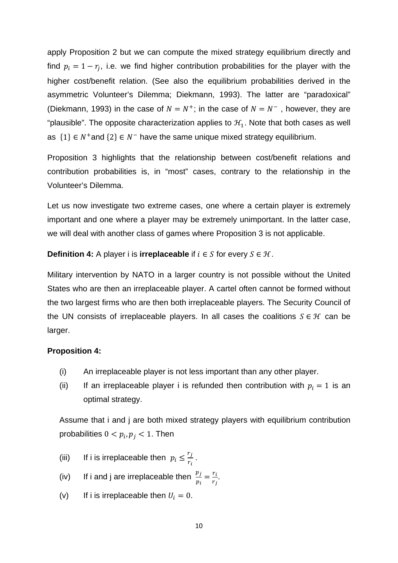apply Proposition 2 but we can compute the mixed strategy equilibrium directly and find  $p_i = 1 - r_j$ , i.e. we find higher contribution probabilities for the player with the higher cost/benefit relation. (See also the equilibrium probabilities derived in the asymmetric Volunteer's Dilemma; Diekmann, 1993). The latter are "paradoxical" (Diekmann, 1993) in the case of  $N = N^+$ ; in the case of  $N = N^-$ , however, they are "plausible". The opposite characterization applies to  $H<sub>1</sub>$ . Note that both cases as well as  $\{1\} \in N^+$  and  $\{2\} \in N^-$  have the same unique mixed strategy equilibrium.

Proposition 3 highlights that the relationship between cost/benefit relations and contribution probabilities is, in "most" cases, contrary to the relationship in the Volunteer's Dilemma.

Let us now investigate two extreme cases, one where a certain player is extremely important and one where a player may be extremely unimportant. In the latter case, we will deal with another class of games where Proposition 3 is not applicable.

**Definition 4:** A player i is **irreplaceable** if  $i \in S$  for every  $S \in \mathcal{H}$ .

Military intervention by NATO in a larger country is not possible without the United States who are then an irreplaceable player. A cartel often cannot be formed without the two largest firms who are then both irreplaceable players. The Security Council of the UN consists of irreplaceable players. In all cases the coalitions  $S \in \mathcal{H}$  can be larger.

## **Proposition 4:**

- (i) An irreplaceable player is not less important than any other player.
- (ii) If an irreplaceable player i is refunded then contribution with  $p_i = 1$  is an optimal strategy.

Assume that i and j are both mixed strategy players with equilibrium contribution probabilities  $0 < p_i, p_j < 1$ . Then

- (iii) If i is irreplaceable then  $p_i \leq \frac{r_j}{r_i}$ .
- (iv) If i and j are irreplaceable then  $\frac{p_j}{p_i} = \frac{r_i}{r_j}$ .
- (v) If i is irreplaceable then  $U_i = 0$ .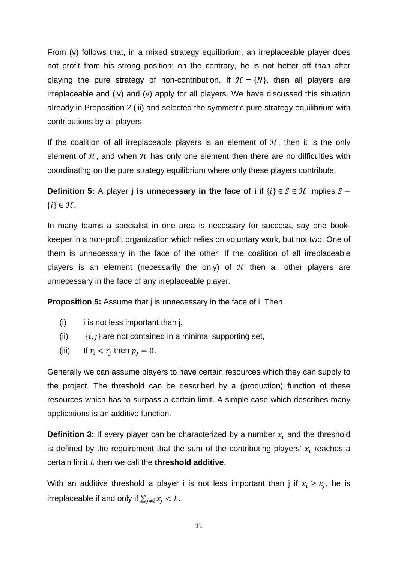From (v) follows that, in a mixed strategy equilibrium, an irreplaceable player does not profit from his strong position; on the contrary, he is not better off than after playing the pure strategy of non-contribution. If  $H = \{N\}$ , then all players are irreplaceable and (iv) and (v) apply for all players. We have discussed this situation already in Proposition 2 (iii) and selected the symmetric pure strategy equilibrium with contributions by all players.

If the coalition of all irreplaceable players is an element of  $H$ , then it is the only element of  $H$ , and when  $H$  has only one element then there are no difficulties with coordinating on the pure strategy equilibrium where only these players contribute.

**Definition 5:** A player **j is unnecessary in the face of i** if  $\{i\} \in S \in \mathcal{H}$  implies  $S \{j\} \in \mathcal{H}$ .

In many teams a specialist in one area is necessary for success, say one bookkeeper in a non-profit organization which relies on voluntary work, but not two. One of them is unnecessary in the face of the other. If the coalition of all irreplaceable players is an element (necessarily the only) of  $H$  then all other players are unnecessary in the face of any irreplaceable player.

**Proposition 5:** Assume that j is unnecessary in the face of i. Then

- $(i)$  i is not less important than j,
- (ii)  $\{i, j\}$  are not contained in a minimal supporting set,
- (iii) If  $r_i < r_j$  then  $p_j = 0$ .

Generally we can assume players to have certain resources which they can supply to the project. The threshold can be described by a (production) function of these resources which has to surpass a certain limit. A simple case which describes many applications is an additive function.

**Definition 3:** If every player can be characterized by a number  $x_i$  and the threshold is defined by the requirement that the sum of the contributing players'  $x_i$  reaches a certain limit ܮ then we call the **threshold additive**.

With an additive threshold a player i is not less important than j if  $x_i \geq x_j$ , he is irreplaceable if and only if  $\sum_{i \neq i} x_i < L$ .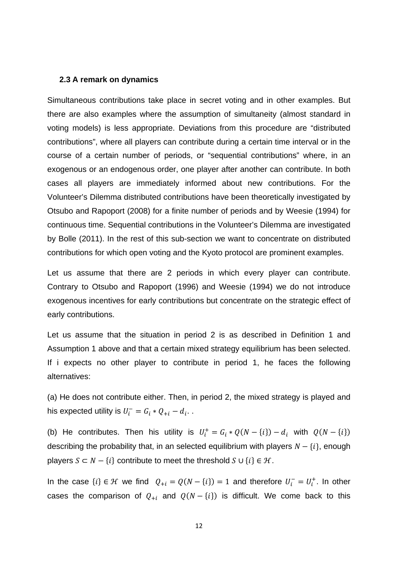#### **2.3 A remark on dynamics**

Simultaneous contributions take place in secret voting and in other examples. But there are also examples where the assumption of simultaneity (almost standard in voting models) is less appropriate. Deviations from this procedure are "distributed contributions", where all players can contribute during a certain time interval or in the course of a certain number of periods, or "sequential contributions" where, in an exogenous or an endogenous order, one player after another can contribute. In both cases all players are immediately informed about new contributions. For the Volunteer's Dilemma distributed contributions have been theoretically investigated by Otsubo and Rapoport (2008) for a finite number of periods and by Weesie (1994) for continuous time. Sequential contributions in the Volunteer's Dilemma are investigated by Bolle (2011). In the rest of this sub-section we want to concentrate on distributed contributions for which open voting and the Kyoto protocol are prominent examples.

Let us assume that there are 2 periods in which every player can contribute. Contrary to Otsubo and Rapoport (1996) and Weesie (1994) we do not introduce exogenous incentives for early contributions but concentrate on the strategic effect of early contributions.

Let us assume that the situation in period 2 is as described in Definition 1 and Assumption 1 above and that a certain mixed strategy equilibrium has been selected. If i expects no other player to contribute in period 1, he faces the following alternatives:

(a) He does not contribute either. Then, in period 2, the mixed strategy is played and his expected utility is  $U_i^- = G_i * Q_{+i} - d_i$ .

(b) He contributes. Then his utility is  $U_i^+ = G_i * Q(N - \{i\}) - d_i$  with  $Q(N - \{i\})$ describing the probability that, in an selected equilibrium with players  $N - \{i\}$ , enough players  $S \subset N - \{i\}$  contribute to meet the threshold  $S \cup \{i\} \in \mathcal{H}$ .

In the case  $\{i\} \in \mathcal{H}$  we find  $Q_{+i} = Q(N - \{i\}) = 1$  and therefore  $U_i^- = U_i^+$ . In other cases the comparison of  $Q_{+i}$  and  $Q(N - \{i\})$  is difficult. We come back to this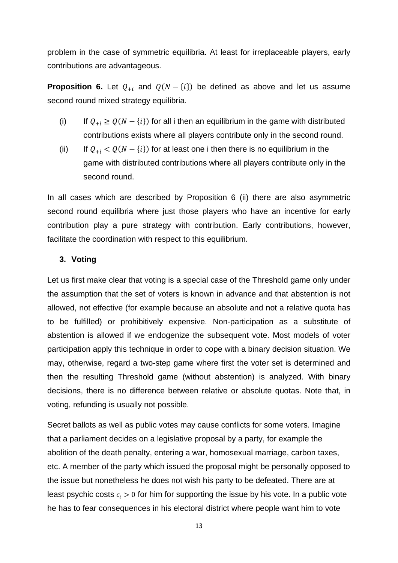problem in the case of symmetric equilibria. At least for irreplaceable players, early contributions are advantageous.

**Proposition 6.** Let  $Q_{+i}$  and  $Q(N - \{i\})$  be defined as above and let us assume second round mixed strategy equilibria.

- (i) If  $Q_{+i} \ge Q(N \{i\})$  for all i then an equilibrium in the game with distributed contributions exists where all players contribute only in the second round.
- (ii) If  $Q_{+i} < Q(N \{i\})$  for at least one i then there is no equilibrium in the game with distributed contributions where all players contribute only in the second round.

In all cases which are described by Proposition 6 (ii) there are also asymmetric second round equilibria where just those players who have an incentive for early contribution play a pure strategy with contribution. Early contributions, however, facilitate the coordination with respect to this equilibrium.

## **3. Voting**

Let us first make clear that voting is a special case of the Threshold game only under the assumption that the set of voters is known in advance and that abstention is not allowed, not effective (for example because an absolute and not a relative quota has to be fulfilled) or prohibitively expensive. Non-participation as a substitute of abstention is allowed if we endogenize the subsequent vote. Most models of voter participation apply this technique in order to cope with a binary decision situation. We may, otherwise, regard a two-step game where first the voter set is determined and then the resulting Threshold game (without abstention) is analyzed. With binary decisions, there is no difference between relative or absolute quotas. Note that, in voting, refunding is usually not possible.

Secret ballots as well as public votes may cause conflicts for some voters. Imagine that a parliament decides on a legislative proposal by a party, for example the abolition of the death penalty, entering a war, homosexual marriage, carbon taxes, etc. A member of the party which issued the proposal might be personally opposed to the issue but nonetheless he does not wish his party to be defeated. There are at least psychic costs  $c_i > 0$  for him for supporting the issue by his vote. In a public vote he has to fear consequences in his electoral district where people want him to vote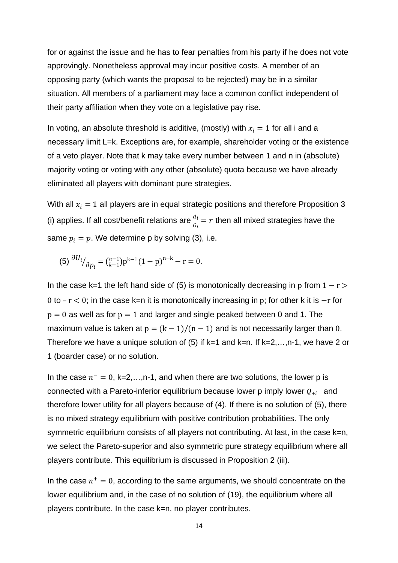for or against the issue and he has to fear penalties from his party if he does not vote approvingly. Nonetheless approval may incur positive costs. A member of an opposing party (which wants the proposal to be rejected) may be in a similar situation. All members of a parliament may face a common conflict independent of their party affiliation when they vote on a legislative pay rise.

In voting, an absolute threshold is additive, (mostly) with  $x_i = 1$  for all i and a necessary limit L=k. Exceptions are, for example, shareholder voting or the existence of a veto player. Note that k may take every number between 1 and n in (absolute) majority voting or voting with any other (absolute) quota because we have already eliminated all players with dominant pure strategies.

With all  $x_i = 1$  all players are in equal strategic positions and therefore Proposition 3 (i) applies. If all cost/benefit relations are  $\frac{d_i}{G_i} = r$  then all mixed strategies have the same  $p_i = p$ . We determine p by solving (3), i.e.

(5) 
$$
\frac{\partial U_i}{\partial p_i} = \binom{n-1}{k-1} p^{k-1} (1-p)^{n-k} - r = 0.
$$

In the case k=1 the left hand side of (5) is monotonically decreasing in p from  $1 - r$ 0 to  $-r < 0$ ; in the case k=n it is monotonically increasing in p; for other k it is  $-r$  for  $p = 0$  as well as for  $p = 1$  and larger and single peaked between 0 and 1. The maximum value is taken at  $p = (k - 1)/(n - 1)$  and is not necessarily larger than 0. Therefore we have a unique solution of  $(5)$  if k=1 and k=n. If k=2,...,n-1, we have 2 or 1 (boarder case) or no solution.

In the case  $n^- = 0$ , k=2,...,n-1, and when there are two solutions, the lower p is connected with a Pareto-inferior equilibrium because lower p imply lower  $Q_{+i}$  and therefore lower utility for all players because of (4). If there is no solution of (5), there is no mixed strategy equilibrium with positive contribution probabilities. The only symmetric equilibrium consists of all players not contributing. At last, in the case k=n, we select the Pareto-superior and also symmetric pure strategy equilibrium where all players contribute. This equilibrium is discussed in Proposition 2 (iii).

In the case  $n^+=0$ , according to the same arguments, we should concentrate on the lower equilibrium and, in the case of no solution of (19), the equilibrium where all players contribute. In the case k=n, no player contributes.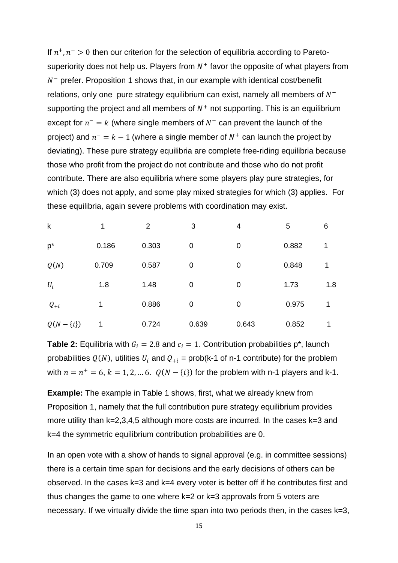If  $n^+$ ,  $n^-$  > 0 then our criterion for the selection of equilibria according to Paretosuperiority does not help us. Players from  $N^+$  favor the opposite of what players from  $N^-$  prefer. Proposition 1 shows that, in our example with identical cost/benefit relations, only one pure strategy equilibrium can exist, namely all members of  $N^$ supporting the project and all members of  $N^+$  not supporting. This is an equilibrium except for  $n^- = k$  (where single members of  $N^-$  can prevent the launch of the project) and  $n^- = k - 1$  (where a single member of  $N^+$  can launch the project by deviating). These pure strategy equilibria are complete free-riding equilibria because those who profit from the project do not contribute and those who do not profit contribute. There are also equilibria where some players play pure strategies, for which (3) does not apply, and some play mixed strategies for which (3) applies. For these equilibria, again severe problems with coordination may exist.

| $\mathsf k$    | 1     | 2     | 3           | 4           | 5     | 6   |
|----------------|-------|-------|-------------|-------------|-------|-----|
| $p^*$          | 0.186 | 0.303 | $\mathbf 0$ | 0           | 0.882 | 1   |
| Q(N)           | 0.709 | 0.587 | 0           | 0           | 0.848 | 1   |
| $U_i$          | 1.8   | 1.48  | $\mathbf 0$ | $\mathbf 0$ | 1.73  | 1.8 |
| $Q_{+i}$       | 1     | 0.886 | $\mathbf 0$ | 0           | 0.975 | 1   |
| $Q(N - \{i\})$ |       | 0.724 | 0.639       | 0.643       | 0.852 | 1   |

**Table 2:** Equilibria with  $G_i = 2.8$  and  $c_i = 1$ . Contribution probabilities p<sup>\*</sup>, launch probabilities  $Q(N)$ , utilities  $U_i$  and  $Q_{+i}$  = prob(k-1 of n-1 contribute) for the problem with  $n = n^+ = 6$ ,  $k = 1, 2, ... 6$ .  $Q(N - \{i\})$  for the problem with n-1 players and k-1.

**Example:** The example in Table 1 shows, first, what we already knew from Proposition 1, namely that the full contribution pure strategy equilibrium provides more utility than k=2,3,4,5 although more costs are incurred. In the cases k=3 and k=4 the symmetric equilibrium contribution probabilities are 0.

In an open vote with a show of hands to signal approval (e.g. in committee sessions) there is a certain time span for decisions and the early decisions of others can be observed. In the cases k=3 and k=4 every voter is better off if he contributes first and thus changes the game to one where k=2 or k=3 approvals from 5 voters are necessary. If we virtually divide the time span into two periods then, in the cases k=3,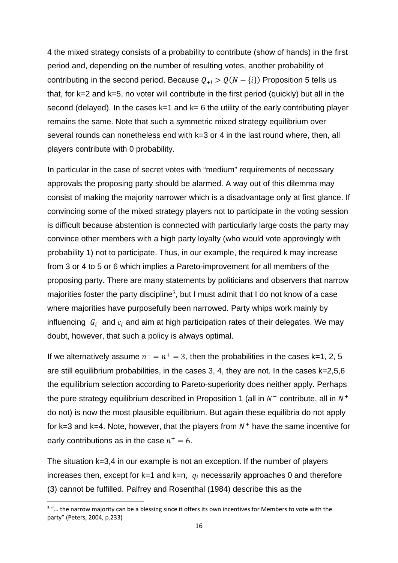4 the mixed strategy consists of a probability to contribute (show of hands) in the first period and, depending on the number of resulting votes, another probability of contributing in the second period. Because  $Q_{+i} > Q(N - \{i\})$  Proposition 5 tells us that, for k=2 and k=5, no voter will contribute in the first period (quickly) but all in the second (delayed). In the cases  $k=1$  and  $k=6$  the utility of the early contributing player remains the same. Note that such a symmetric mixed strategy equilibrium over several rounds can nonetheless end with k=3 or 4 in the last round where, then, all players contribute with 0 probability.

In particular in the case of secret votes with "medium" requirements of necessary approvals the proposing party should be alarmed. A way out of this dilemma may consist of making the majority narrower which is a disadvantage only at first glance. If convincing some of the mixed strategy players not to participate in the voting session is difficult because abstention is connected with particularly large costs the party may convince other members with a high party loyalty (who would vote approvingly with probability 1) not to participate. Thus, in our example, the required k may increase from 3 or 4 to 5 or 6 which implies a Pareto-improvement for all members of the proposing party. There are many statements by politicians and observers that narrow majorities foster the party discipline<sup>3</sup>, but I must admit that I do not know of a case where majorities have purposefully been narrowed. Party whips work mainly by influencing  $G_i$  and  $c_i$  and aim at high participation rates of their delegates. We may doubt, however, that such a policy is always optimal.

If we alternatively assume  $n^- = n^+ = 3$ , then the probabilities in the cases k=1, 2, 5 are still equilibrium probabilities, in the cases 3, 4, they are not. In the cases k=2,5,6 the equilibrium selection according to Pareto-superiority does neither apply. Perhaps the pure strategy equilibrium described in Proposition 1 (all in  $N^-$  contribute, all in  $N^+$ do not) is now the most plausible equilibrium. But again these equilibria do not apply for k=3 and k=4. Note, however, that the players from  $N^+$  have the same incentive for early contributions as in the case  $n^+ = 6$ .

The situation k=3,4 in our example is not an exception. If the number of players increases then, except for  $k=1$  and  $k=n$ ,  $q_i$  necessarily approaches 0 and therefore (3) cannot be fulfilled. Palfrey and Rosenthal (1984) describe this as the

 $3$  "... the narrow majority can be a blessing since it offers its own incentives for Members to vote with the party" (Peters, 2004, p.233)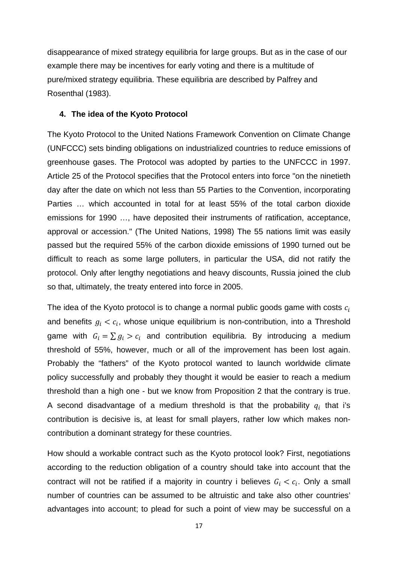disappearance of mixed strategy equilibria for large groups. But as in the case of our example there may be incentives for early voting and there is a multitude of pure/mixed strategy equilibria. These equilibria are described by Palfrey and Rosenthal (1983).

#### **4. The idea of the Kyoto Protocol**

The Kyoto Protocol to the United Nations Framework Convention on Climate Change (UNFCCC) sets binding obligations on industrialized countries to reduce emissions of greenhouse gases. The Protocol was adopted by parties to the UNFCCC in 1997. Article 25 of the Protocol specifies that the Protocol enters into force "on the ninetieth day after the date on which not less than 55 Parties to the Convention, incorporating Parties … which accounted in total for at least 55% of the total carbon dioxide emissions for 1990 …, have deposited their instruments of ratification, acceptance, approval or accession." (The United Nations, 1998) The 55 nations limit was easily passed but the required 55% of the carbon dioxide emissions of 1990 turned out be difficult to reach as some large polluters, in particular the USA, did not ratify the protocol. Only after lengthy negotiations and heavy discounts, Russia joined the club so that, ultimately, the treaty entered into force in 2005.

The idea of the Kyoto protocol is to change a normal public goods game with costs  $c_i$ and benefits  $g_i < c_i$ , whose unique equilibrium is non-contribution, into a Threshold game with  $G_i = \sum g_i > c_i$  and contribution equilibria. By introducing a medium threshold of 55%, however, much or all of the improvement has been lost again. Probably the "fathers" of the Kyoto protocol wanted to launch worldwide climate policy successfully and probably they thought it would be easier to reach a medium threshold than a high one - but we know from Proposition 2 that the contrary is true. A second disadvantage of a medium threshold is that the probability  $q_i$  that i's contribution is decisive is, at least for small players, rather low which makes noncontribution a dominant strategy for these countries.

How should a workable contract such as the Kyoto protocol look? First, negotiations according to the reduction obligation of a country should take into account that the contract will not be ratified if a majority in country i believes  $G_i < c_i$ . Only a small number of countries can be assumed to be altruistic and take also other countries' advantages into account; to plead for such a point of view may be successful on a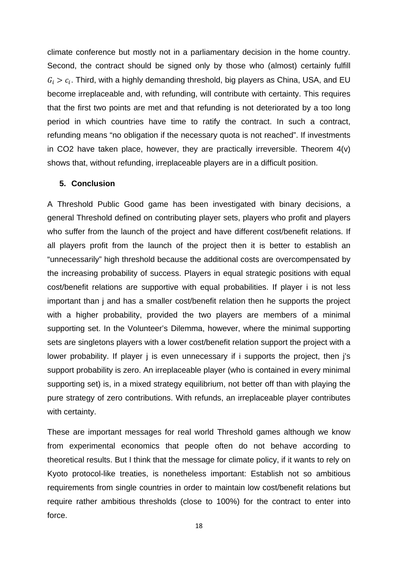climate conference but mostly not in a parliamentary decision in the home country. Second, the contract should be signed only by those who (almost) certainly fulfill  $G_i > c_i$ . Third, with a highly demanding threshold, big players as China, USA, and EU become irreplaceable and, with refunding, will contribute with certainty. This requires that the first two points are met and that refunding is not deteriorated by a too long period in which countries have time to ratify the contract. In such a contract, refunding means "no obligation if the necessary quota is not reached". If investments in CO2 have taken place, however, they are practically irreversible. Theorem 4(v) shows that, without refunding, irreplaceable players are in a difficult position.

#### **5. Conclusion**

A Threshold Public Good game has been investigated with binary decisions, a general Threshold defined on contributing player sets, players who profit and players who suffer from the launch of the project and have different cost/benefit relations. If all players profit from the launch of the project then it is better to establish an "unnecessarily" high threshold because the additional costs are overcompensated by the increasing probability of success. Players in equal strategic positions with equal cost/benefit relations are supportive with equal probabilities. If player i is not less important than j and has a smaller cost/benefit relation then he supports the project with a higher probability, provided the two players are members of a minimal supporting set. In the Volunteer's Dilemma, however, where the minimal supporting sets are singletons players with a lower cost/benefit relation support the project with a lower probability. If player *j* is even unnecessary if *i* supports the project, then *j's* support probability is zero. An irreplaceable player (who is contained in every minimal supporting set) is, in a mixed strategy equilibrium, not better off than with playing the pure strategy of zero contributions. With refunds, an irreplaceable player contributes with certainty.

These are important messages for real world Threshold games although we know from experimental economics that people often do not behave according to theoretical results. But I think that the message for climate policy, if it wants to rely on Kyoto protocol-like treaties, is nonetheless important: Establish not so ambitious requirements from single countries in order to maintain low cost/benefit relations but require rather ambitious thresholds (close to 100%) for the contract to enter into force.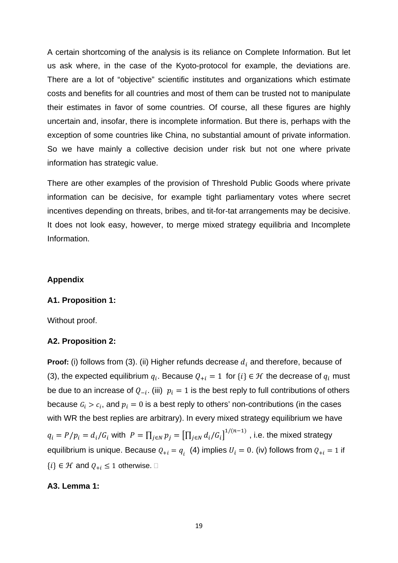A certain shortcoming of the analysis is its reliance on Complete Information. But let us ask where, in the case of the Kyoto-protocol for example, the deviations are. There are a lot of "objective" scientific institutes and organizations which estimate costs and benefits for all countries and most of them can be trusted not to manipulate their estimates in favor of some countries. Of course, all these figures are highly uncertain and, insofar, there is incomplete information. But there is, perhaps with the exception of some countries like China, no substantial amount of private information. So we have mainly a collective decision under risk but not one where private information has strategic value.

There are other examples of the provision of Threshold Public Goods where private information can be decisive, for example tight parliamentary votes where secret incentives depending on threats, bribes, and tit-for-tat arrangements may be decisive. It does not look easy, however, to merge mixed strategy equilibria and Incomplete Information.

#### **Appendix**

#### **A1. Proposition 1:**

Without proof.

## **A2. Proposition 2:**

**Proof:** (i) follows from (3). (ii) Higher refunds decrease  $d_i$  and therefore, because of (3), the expected equilibrium  $q_i$ . Because  $Q_{+i} = 1$  for  $\{i\} \in \mathcal{H}$  the decrease of  $q_i$  must be due to an increase of  $Q_{-i}$ . (iii)  $p_i = 1$  is the best reply to full contributions of others because  $G_i > c_i$ , and  $p_i = 0$  is a best reply to others' non-contributions (in the cases with WR the best replies are arbitrary). In every mixed strategy equilibrium we have  $q_i = P/p_i = d_i/G_i$  with  $P = \prod_{j \in N} p_j = \left[\prod_{j \in N} d_i/G_i\right]^{1/(n-1)}$ , i.e. the mixed strategy equilibrium is unique. Because  $Q_{+i} = q_i$  (4) implies  $U_i = 0$ . (iv) follows from  $Q_{+i} = 1$  if  $\{i\} \in \mathcal{H}$  and  $Q_{+i} \leq 1$  otherwise.  $\Box$ 

#### **A3. Lemma 1:**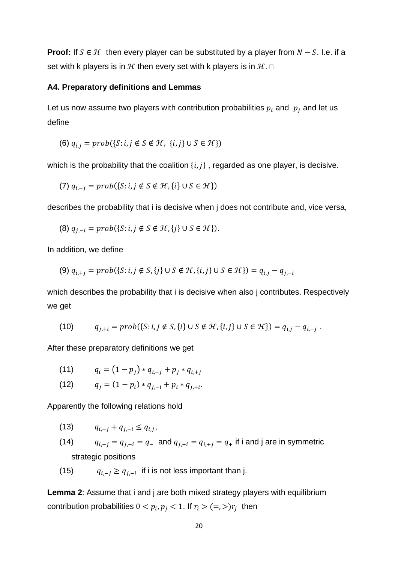**Proof:** If  $S \in \mathcal{H}$  then every player can be substituted by a player from  $N - S$ . I.e. if a set with k players is in  $H$  then every set with k players is in  $H$ .  $\Box$ 

#### **A4. Preparatory definitions and Lemmas**

Let us now assume two players with contribution probabilities  $p_i$  and  $p_j$  and let us define

$$
(6) q_{i,j} = prob({S:i,j \notin S \notin \mathcal{H}, \{i,j\} \cup S \in \mathcal{H}\})
$$

which is the probability that the coalition  $\{i, j\}$ , regarded as one player, is decisive.

(7) 
$$
q_{i,-j} = prob({S : i, j \notin S \notin \mathcal{H}, {i} \cup S \in \mathcal{H}})
$$

describes the probability that i is decisive when j does not contribute and, vice versa,

(8)  $q_{j,-i} = prob({S:i, j \notin S \notin \mathcal{H}, \{j\} \cup S \in \mathcal{H}\}).$ 

In addition, we define

$$
(9) \ q_{i,+j} = prob(\{S : i,j \notin S, \{j\} \cup S \notin \mathcal{H}, \{i,j\} \cup S \in \mathcal{H}\}) = q_{i,j} - q_{j,-i}
$$

which describes the probability that i is decisive when also j contributes. Respectively we get

(10) 
$$
q_{j,+i} = prob(\{S:i,j \notin S, \{i\} \cup S \notin \mathcal{H}, \{i,j\} \cup S \in \mathcal{H}\}) = q_{i,j} - q_{i,-j}
$$
.

After these preparatory definitions we get

(11) 
$$
q_i = (1-p_j) * q_{i,-j} + p_j * q_{i,+j}
$$

(12) 
$$
q_j = (1 - p_i) * q_{j, -i} + p_i * q_{j, +i}.
$$

Apparently the following relations hold

- $q_{i-i} + q_{i-i} \leq q_{i,i}$
- (14)  $q_{i,-j} = q_{j,-i} = q_{-}$  and  $q_{j,+i} = q_{i,+j} = q_{+}$  if i and j are in symmetric strategic positions
- (15)  $q_{i-i} \geq q_{i-i}$  if i is not less important than j.

**Lemma 2**: Assume that i and j are both mixed strategy players with equilibrium contribution probabilities  $0 < p_i$ ,  $p_j < 1$ . If  $r_i > (=,>)r_i$  then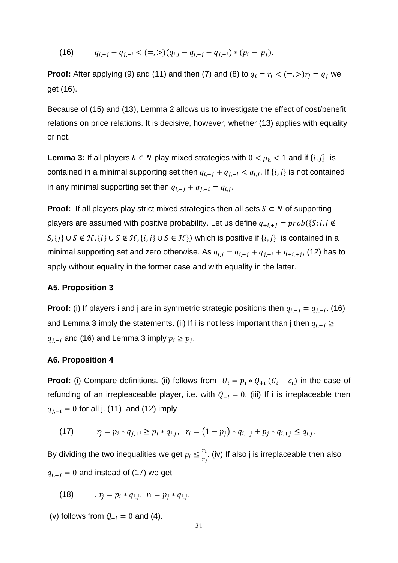(16)  $q_{i-i} - q_{i-i} < (=, >)(q_{i,i} - q_{i-i} - q_{i-i}) * (p_i - p_i).$ 

**Proof:** After applying (9) and (11) and then (7) and (8) to  $q_i = r_i < (=,>)r_j = q_j$  we get (16).

Because of (15) and (13), Lemma 2 allows us to investigate the effect of cost/benefit relations on price relations. It is decisive, however, whether (13) applies with equality or not.

**Lemma 3:** If all players  $h \in N$  play mixed strategies with  $0 < p_h < 1$  and if  $\{i, j\}$  is contained in a minimal supporting set then  $q_{i,-i} + q_{i,-i} < q_{i,i}$ . If  $\{i,j\}$  is not contained in any minimal supporting set then  $q_{i,-i} + q_{i,-i} = q_{i,i}$ .

**Proof:** If all players play strict mixed strategies then all sets  $S \subset N$  of supporting players are assumed with positive probability. Let us define  $q_{+i,+i} = prob(\{S : i,j \notin \mathbb{Z}\})$  $S, \{i\} \cup S \notin \mathcal{H}, \{i\} \cup S \notin \mathcal{H}, \{i, j\} \cup S \in \mathcal{H}\}$  which is positive if  $\{i, j\}$  is contained in a minimal supporting set and zero otherwise. As  $q_{i,j} = q_{i-1} + q_{i-1} + q_{i+1,i}$ , (12) has to apply without equality in the former case and with equality in the latter.

#### **A5. Proposition 3**

**Proof:** (i) If players i and j are in symmetric strategic positions then  $q_{i,-j} = q_{j,-i}$ . (16) and Lemma 3 imply the statements. (ii) If i is not less important than j then  $q_{i,-i} \ge$  $q_{i-i}$  and (16) and Lemma 3 imply  $p_i \ge p_i$ .

#### **A6. Proposition 4**

**Proof:** (i) Compare definitions. (ii) follows from  $U_i = p_i * Q_{+i} (G_i - c_i)$  in the case of refunding of an irrepleaceable player, i.e. with  $Q_{-i} = 0$ . (iii) If i is irreplaceable then  $q_{i,-i} = 0$  for all j. (11) and (12) imply

(17) 
$$
r_j = p_i * q_{j,+i} \geq p_i * q_{i,j}, \quad r_i = (1-p_j) * q_{i,-j} + p_j * q_{i,+j} \leq q_{i,j}.
$$

By dividing the two inequalities we get  $p_i \leq \frac{r_i}{r_j}$ . (iv) If also j is irreplaceable then also  $q_{i,-i} = 0$  and instead of (17) we get

(18) 
$$
r_j = p_i * q_{i,j}, r_i = p_j * q_{i,j}.
$$

(v) follows from  $Q_{-i} = 0$  and (4).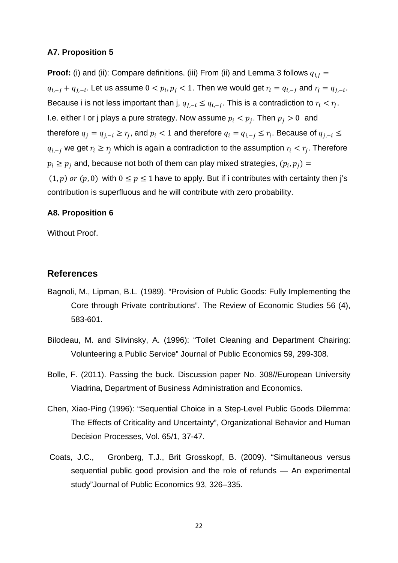#### **A7. Proposition 5**

**Proof:** (i) and (ii): Compare definitions. (iii) From (ii) and Lemma 3 follows  $q_{i,j}$  =  $q_{i,-i} + q_{i,-i}$ . Let us assume  $0 < p_i, p_i < 1$ . Then we would get  $r_i = q_{i,-i}$  and  $r_i = q_{i,-i}$ . Because i is not less important than j,  $q_{i,-i} \leq q_{i,-i}$ . This is a contradiction to  $r_i < r_i$ . I.e. either I or j plays a pure strategy. Now assume  $p_i < p_j$ . Then  $p_j > 0$  and therefore  $q_j = q_{j,-i} \ge r_j$ , and  $p_i < 1$  and therefore  $q_i = q_{i,-j} \le r_i$ . Because of  $q_{j,-i} \le r_j$  $q_{i,-i}$  we get  $r_i \geq r_i$  which is again a contradiction to the assumption  $r_i < r_i$ . Therefore  $p_i \geq p_j$  and, because not both of them can play mixed strategies,  $(p_i, p_j) =$  $(1, p)$  or  $(p, 0)$  with  $0 \le p \le 1$  have to apply. But if i contributes with certainty then j's contribution is superfluous and he will contribute with zero probability.

#### **A8. Proposition 6**

Without Proof.

## **References**

- Bagnoli, M., Lipman, B.L. (1989). "Provision of Public Goods: Fully Implementing the Core through Private contributions". The Review of Economic Studies 56 (4), 583-601.
- Bilodeau, M. and Slivinsky, A. (1996): "Toilet Cleaning and Department Chairing: Volunteering a Public Service" Journal of Public Economics 59, 299-308.
- Bolle, F. (2011). Passing the buck. Discussion paper No. 308//European University Viadrina, Department of Business Administration and Economics.
- Chen, Xiao-Ping (1996): "Sequential Choice in a Step-Level Public Goods Dilemma: The Effects of Criticality and Uncertainty", Organizational Behavior and Human Decision Processes, Vol. 65/1, 37-47.
- Coats, J.C., Gronberg, T.J., Brit Grosskopf, B. (2009). "Simultaneous versus sequential public good provision and the role of refunds — An experimental study"Journal of Public Economics 93, 326–335.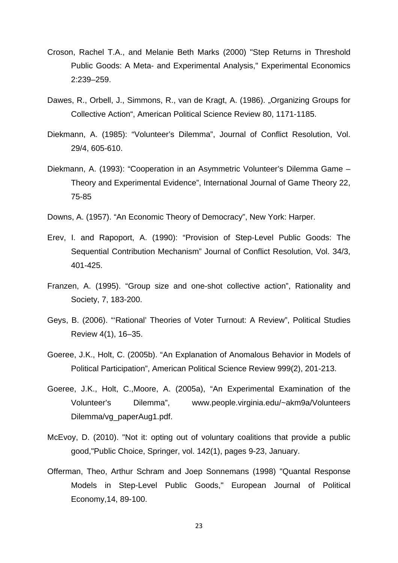- Croson, Rachel T.A., and Melanie Beth Marks (2000) "Step Returns in Threshold Public Goods: A Meta- and Experimental Analysis," Experimental Economics 2:239–259.
- Dawes, R., Orbell, J., Simmons, R., van de Kragt, A. (1986). "Organizing Groups for Collective Action", American Political Science Review 80, 1171-1185.
- Diekmann, A. (1985): "Volunteer's Dilemma", Journal of Conflict Resolution, Vol. 29/4, 605-610.
- Diekmann, A. (1993): "Cooperation in an Asymmetric Volunteer's Dilemma Game Theory and Experimental Evidence", International Journal of Game Theory 22, 75-85
- Downs, A. (1957). "An Economic Theory of Democracy", New York: Harper.
- Erev, I. and Rapoport, A. (1990): "Provision of Step-Level Public Goods: The Sequential Contribution Mechanism" Journal of Conflict Resolution, Vol. 34/3, 401-425.
- Franzen, A. (1995). "Group size and one-shot collective action", Rationality and Society, 7, 183-200.
- Geys, B. (2006). "'Rational' Theories of Voter Turnout: A Review", Political Studies Review 4(1), 16–35.
- Goeree, J.K., Holt, C. (2005b). "An Explanation of Anomalous Behavior in Models of Political Participation", American Political Science Review 999(2), 201-213.
- Goeree, J.K., Holt, C.,Moore, A. (2005a), "An Experimental Examination of the Volunteer's Dilemma", www.people.virginia.edu/~akm9a/Volunteers Dilemma/vg\_paperAug1.pdf.
- McEvoy, D. (2010). "Not it: opting out of voluntary coalitions that provide a public good,"Public Choice, Springer, vol. 142(1), pages 9-23, January.
- Offerman, Theo, Arthur Schram and Joep Sonnemans (1998) "Quantal Response Models in Step-Level Public Goods," European Journal of Political Economy,14, 89-100.